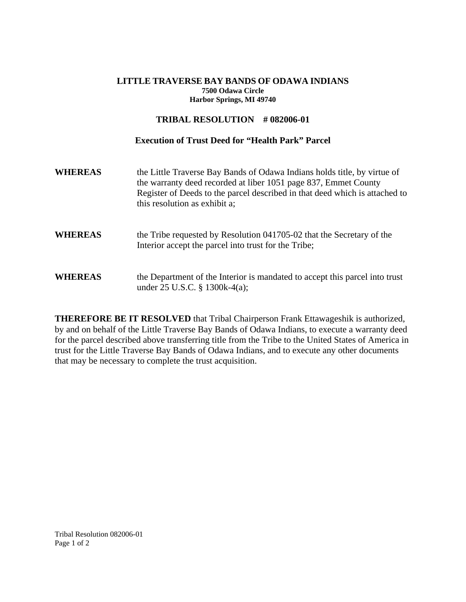## **LITTLE TRAVERSE BAY BANDS OF ODAWA INDIANS 7500 Odawa Circle Harbor Springs, MI 49740**

## **TRIBAL RESOLUTION # 082006-01**

## **Execution of Trust Deed for "Health Park" Parcel**

| <b>WHEREAS</b> | the Little Traverse Bay Bands of Odawa Indians holds title, by virtue of<br>the warranty deed recorded at liber 1051 page 837, Emmet County<br>Register of Deeds to the parcel described in that deed which is attached to<br>this resolution as exhibit a; |  |  |
|----------------|-------------------------------------------------------------------------------------------------------------------------------------------------------------------------------------------------------------------------------------------------------------|--|--|
| <b>WHEREAS</b> | the Tribe requested by Resolution 041705-02 that the Secretary of the<br>Interior accept the parcel into trust for the Tribe;                                                                                                                               |  |  |
| <b>WHEREAS</b> | the Department of the Interior is mandated to accept this parcel into trust<br>under $25$ U.S.C. § 1300k-4(a);                                                                                                                                              |  |  |

**THEREFORE BE IT RESOLVED** that Tribal Chairperson Frank Ettawageshik is authorized, by and on behalf of the Little Traverse Bay Bands of Odawa Indians, to execute a warranty deed for the parcel described above transferring title from the Tribe to the United States of America in trust for the Little Traverse Bay Bands of Odawa Indians, and to execute any other documents that may be necessary to complete the trust acquisition.